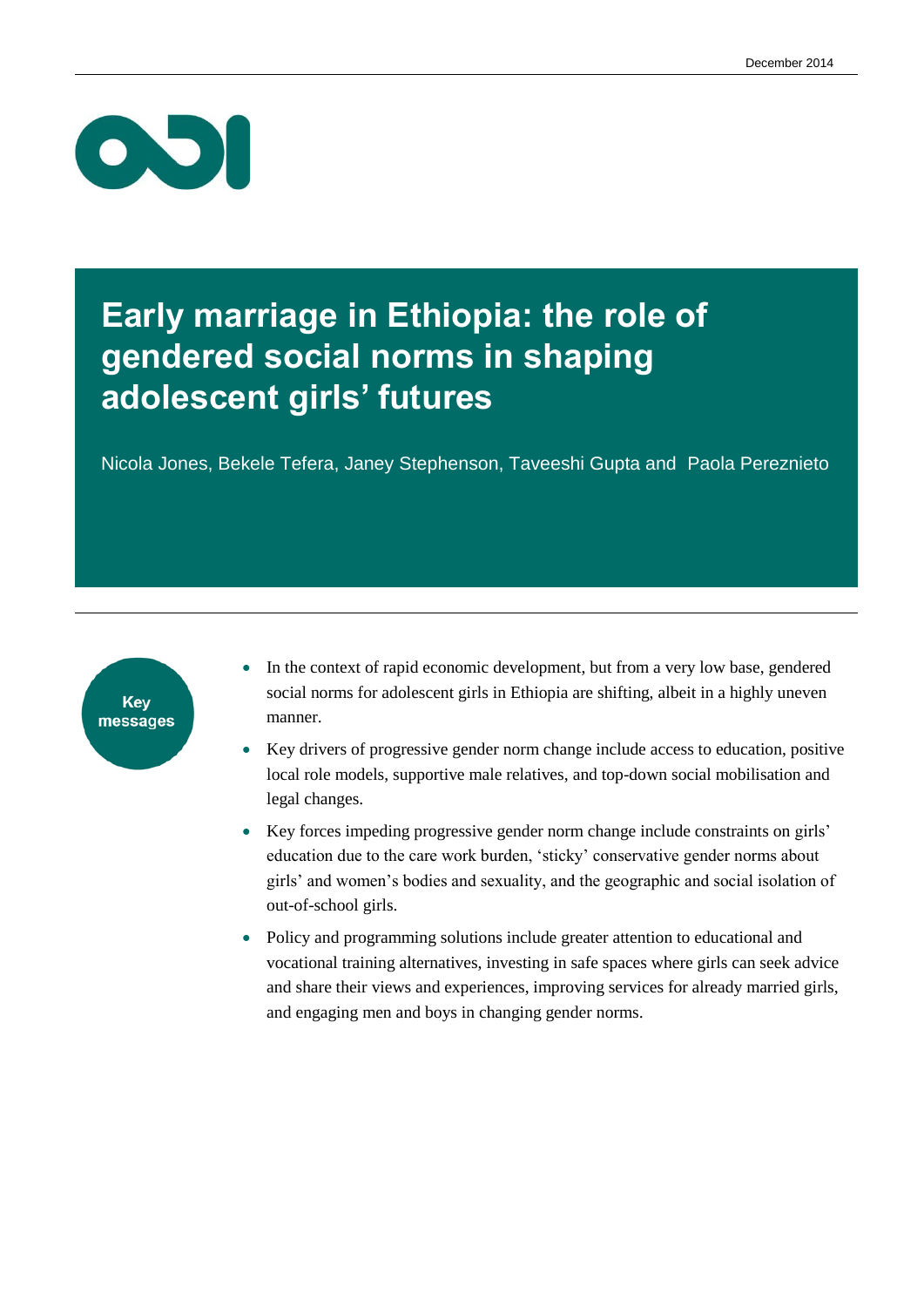

### **Early marriage in Ethiopia: the role of gendered social norms in shaping adolescent girls' futures**

Nicola Jones, Bekele Tefera, Janey Stephenson, Taveeshi Gupta and Paola Pereznieto



- In the context of rapid economic development, but from a very low base, gendered social norms for adolescent girls in Ethiopia are shifting, albeit in a highly uneven manner.
- Key drivers of progressive gender norm change include access to education, positive local role models, supportive male relatives, and top-down social mobilisation and legal changes.
- Key forces impeding progressive gender norm change include constraints on girls' education due to the care work burden, 'sticky' conservative gender norms about girls' and women's bodies and sexuality, and the geographic and social isolation of out-of-school girls.
- Policy and programming solutions include greater attention to educational and vocational training alternatives, investing in safe spaces where girls can seek advice and share their views and experiences, improving services for already married girls, and engaging men and boys in changing gender norms.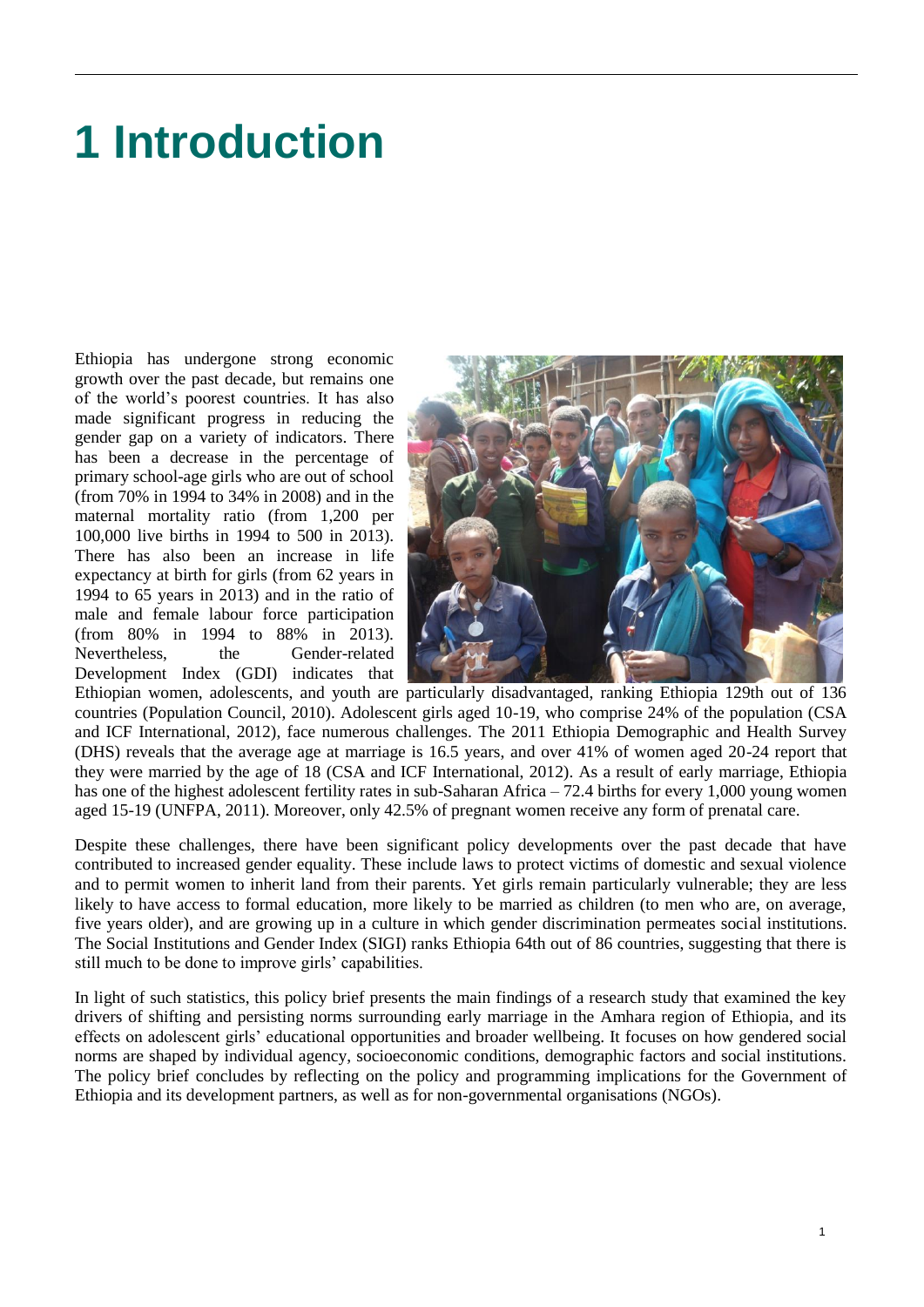## **1 Introduction**

Ethiopia has undergone strong economic growth over the past decade, but remains one of the world's poorest countries. It has also made significant progress in reducing the gender gap on a variety of indicators. There has been a decrease in the percentage of primary school-age girls who are out of school (from 70% in 1994 to 34% in 2008) and in the maternal mortality ratio (from 1,200 per 100,000 live births in 1994 to 500 in 2013). There has also been an increase in life expectancy at birth for girls (from 62 years in 1994 to 65 years in 2013) and in the ratio of male and female labour force participation (from 80% in 1994 to 88% in 2013). Nevertheless, the Gender-related Development Index (GDI) indicates that



Ethiopian women, adolescents, and youth are particularly disadvantaged, ranking Ethiopia 129th out of 136 countries (Population Council, 2010). Adolescent girls aged 10-19, who comprise 24% of the population (CSA and ICF International, 2012), face numerous challenges. The 2011 Ethiopia Demographic and Health Survey (DHS) reveals that the average age at marriage is 16.5 years, and over 41% of women aged 20-24 report that they were married by the age of 18 (CSA and ICF International, 2012). As a result of early marriage, Ethiopia has one of the highest adolescent fertility rates in sub-Saharan Africa – 72.4 births for every 1,000 young women aged 15-19 (UNFPA, 2011). Moreover, only 42.5% of pregnant women receive any form of prenatal care.

Despite these challenges, there have been significant policy developments over the past decade that have contributed to increased gender equality. These include laws to protect victims of domestic and sexual violence and to permit women to inherit land from their parents. Yet girls remain particularly vulnerable; they are less likely to have access to formal education, more likely to be married as children (to men who are, on average, five years older), and are growing up in a culture in which gender discrimination permeates social institutions. The Social Institutions and Gender Index (SIGI) ranks Ethiopia 64th out of 86 countries, suggesting that there is still much to be done to improve girls' capabilities.

In light of such statistics, this policy brief presents the main findings of a research study that examined the key drivers of shifting and persisting norms surrounding early marriage in the Amhara region of Ethiopia, and its effects on adolescent girls' educational opportunities and broader wellbeing. It focuses on how gendered social norms are shaped by individual agency, socioeconomic conditions, demographic factors and social institutions. The policy brief concludes by reflecting on the policy and programming implications for the Government of Ethiopia and its development partners, as well as for non-governmental organisations (NGOs).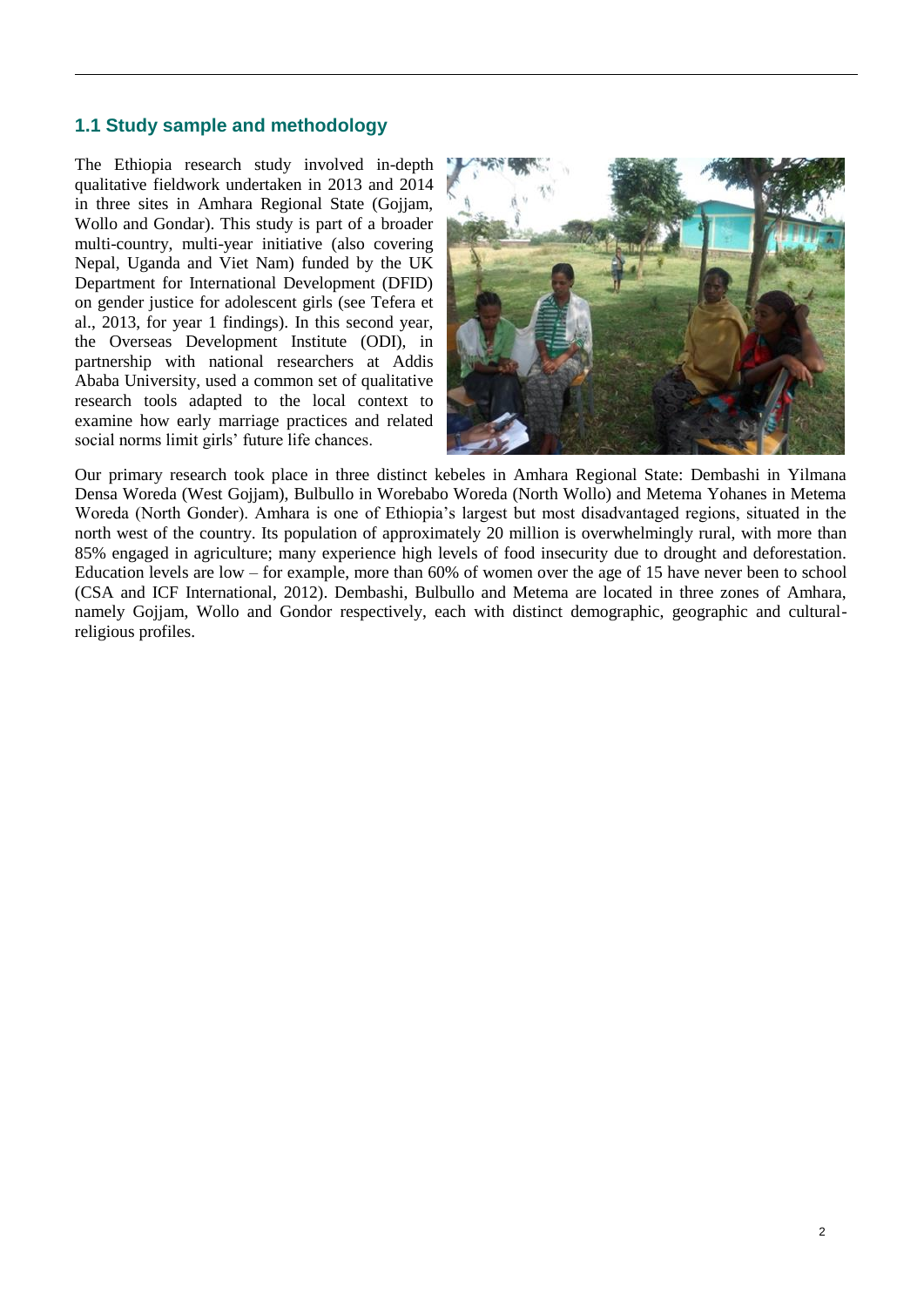#### **1.1 Study sample and methodology**

The Ethiopia research study involved in-depth qualitative fieldwork undertaken in 2013 and 2014 in three sites in Amhara Regional State (Gojjam, Wollo and Gondar). This study is part of a broader multi-country, multi-year initiative (also covering Nepal, Uganda and Viet Nam) funded by the UK Department for International Development (DFID) on gender justice for adolescent girls (see Tefera et al., 2013, for year 1 findings). In this second year, the Overseas Development Institute (ODI), in partnership with national researchers at Addis Ababa University, used a common set of qualitative research tools adapted to the local context to examine how early marriage practices and related social norms limit girls' future life chances.



Our primary research took place in three distinct kebeles in Amhara Regional State: Dembashi in Yilmana Densa Woreda (West Gojjam), Bulbullo in Worebabo Woreda (North Wollo) and Metema Yohanes in Metema Woreda (North Gonder). Amhara is one of Ethiopia's largest but most disadvantaged regions, situated in the north west of the country. Its population of approximately 20 million is overwhelmingly rural, with more than 85% engaged in agriculture; many experience high levels of food insecurity due to drought and deforestation. Education levels are low – for example, more than 60% of women over the age of 15 have never been to school (CSA and ICF International, 2012). Dembashi, Bulbullo and Metema are located in three zones of Amhara, namely Gojjam, Wollo and Gondor respectively, each with distinct demographic, geographic and culturalreligious profiles.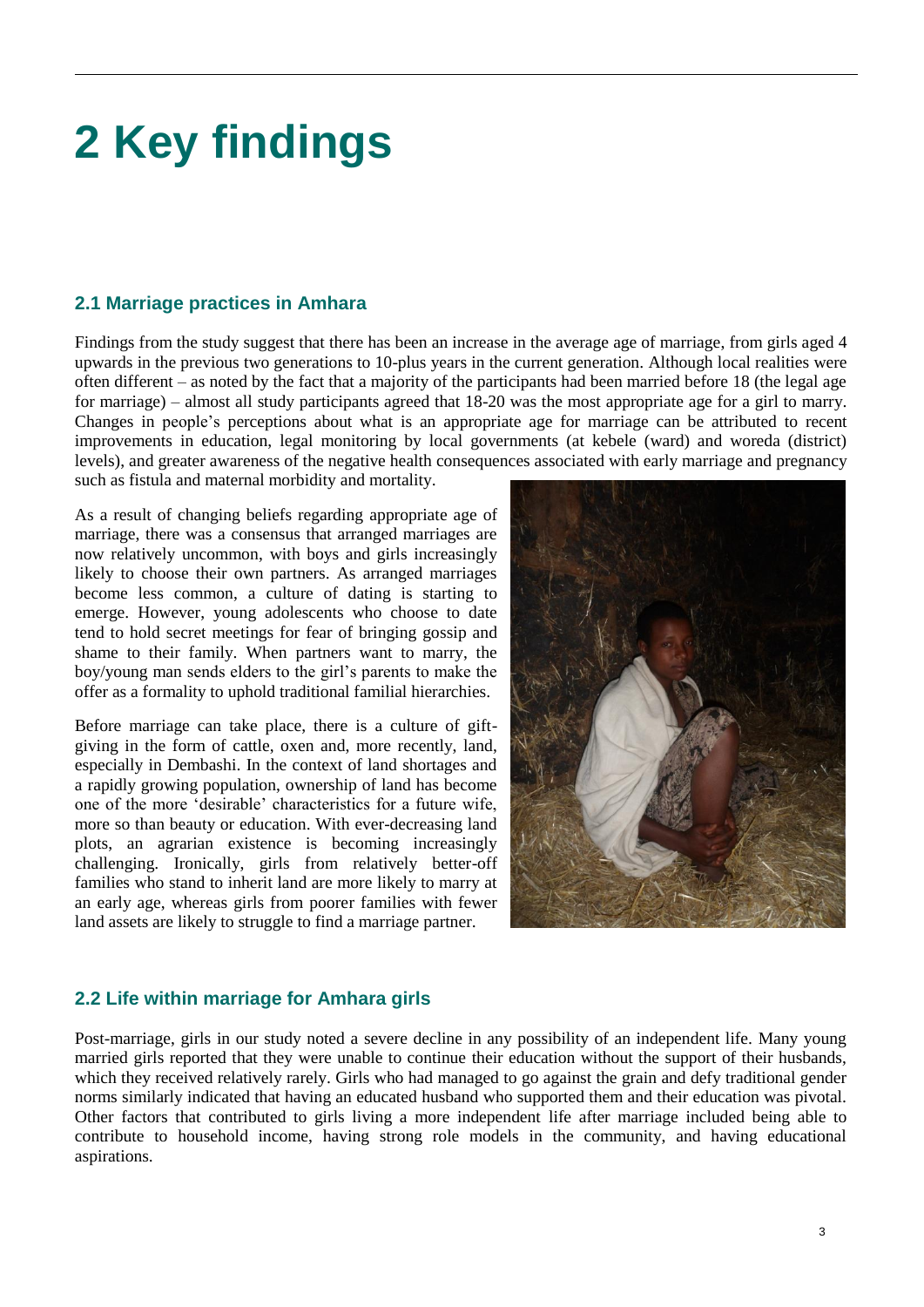# **2 Key findings**

#### **2.1 Marriage practices in Amhara**

Findings from the study suggest that there has been an increase in the average age of marriage, from girls aged 4 upwards in the previous two generations to 10-plus years in the current generation. Although local realities were often different – as noted by the fact that a majority of the participants had been married before 18 (the legal age for marriage) – almost all study participants agreed that 18-20 was the most appropriate age for a girl to marry. Changes in people's perceptions about what is an appropriate age for marriage can be attributed to recent improvements in education, legal monitoring by local governments (at kebele (ward) and woreda (district) levels), and greater awareness of the negative health consequences associated with early marriage and pregnancy such as fistula and maternal morbidity and mortality.

As a result of changing beliefs regarding appropriate age of marriage, there was a consensus that arranged marriages are now relatively uncommon, with boys and girls increasingly likely to choose their own partners. As arranged marriages become less common, a culture of dating is starting to emerge. However, young adolescents who choose to date tend to hold secret meetings for fear of bringing gossip and shame to their family. When partners want to marry, the boy/young man sends elders to the girl's parents to make the offer as a formality to uphold traditional familial hierarchies.

Before marriage can take place, there is a culture of giftgiving in the form of cattle, oxen and, more recently, land, especially in Dembashi. In the context of land shortages and a rapidly growing population, ownership of land has become one of the more 'desirable' characteristics for a future wife, more so than beauty or education. With ever-decreasing land plots, an agrarian existence is becoming increasingly challenging. Ironically, girls from relatively better-off families who stand to inherit land are more likely to marry at an early age, whereas girls from poorer families with fewer land assets are likely to struggle to find a marriage partner.



#### **2.2 Life within marriage for Amhara girls**

Post-marriage, girls in our study noted a severe decline in any possibility of an independent life. Many young married girls reported that they were unable to continue their education without the support of their husbands, which they received relatively rarely. Girls who had managed to go against the grain and defy traditional gender norms similarly indicated that having an educated husband who supported them and their education was pivotal. Other factors that contributed to girls living a more independent life after marriage included being able to contribute to household income, having strong role models in the community, and having educational aspirations.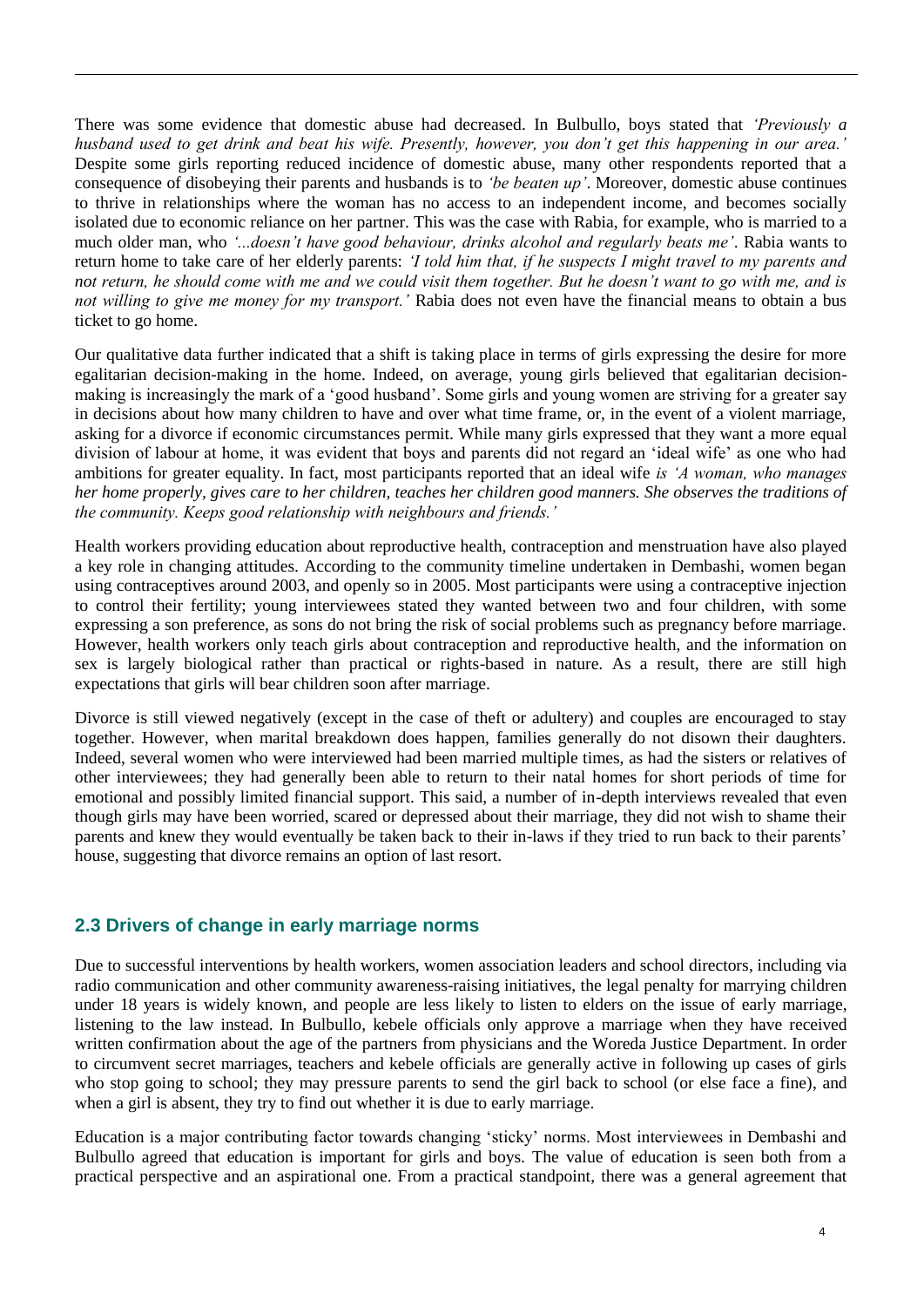There was some evidence that domestic abuse had decreased. In Bulbullo, boys stated that *'Previously a husband used to get drink and beat his wife. Presently, however, you don't get this happening in our area.'* Despite some girls reporting reduced incidence of domestic abuse, many other respondents reported that a consequence of disobeying their parents and husbands is to *'be beaten up'*. Moreover, domestic abuse continues to thrive in relationships where the woman has no access to an independent income, and becomes socially isolated due to economic reliance on her partner. This was the case with Rabia, for example, who is married to a much older man, who *'...doesn't have good behaviour, drinks alcohol and regularly beats me'*. Rabia wants to return home to take care of her elderly parents: *'I told him that, if he suspects I might travel to my parents and not return, he should come with me and we could visit them together. But he doesn't want to go with me, and is not willing to give me money for my transport.'* Rabia does not even have the financial means to obtain a bus ticket to go home.

Our qualitative data further indicated that a shift is taking place in terms of girls expressing the desire for more egalitarian decision-making in the home. Indeed, on average, young girls believed that egalitarian decisionmaking is increasingly the mark of a 'good husband'. Some girls and young women are striving for a greater say in decisions about how many children to have and over what time frame, or, in the event of a violent marriage, asking for a divorce if economic circumstances permit. While many girls expressed that they want a more equal division of labour at home, it was evident that boys and parents did not regard an 'ideal wife' as one who had ambitions for greater equality. In fact, most participants reported that an ideal wife *is 'A woman, who manages her home properly, gives care to her children, teaches her children good manners. She observes the traditions of the community. Keeps good relationship with neighbours and friends.'*

Health workers providing education about reproductive health, contraception and menstruation have also played a key role in changing attitudes. According to the community timeline undertaken in Dembashi, women began using contraceptives around 2003, and openly so in 2005. Most participants were using a contraceptive injection to control their fertility; young interviewees stated they wanted between two and four children, with some expressing a son preference, as sons do not bring the risk of social problems such as pregnancy before marriage. However, health workers only teach girls about contraception and reproductive health, and the information on sex is largely biological rather than practical or rights-based in nature. As a result, there are still high expectations that girls will bear children soon after marriage.

Divorce is still viewed negatively (except in the case of theft or adultery) and couples are encouraged to stay together. However, when marital breakdown does happen, families generally do not disown their daughters. Indeed, several women who were interviewed had been married multiple times, as had the sisters or relatives of other interviewees; they had generally been able to return to their natal homes for short periods of time for emotional and possibly limited financial support. This said, a number of in-depth interviews revealed that even though girls may have been worried, scared or depressed about their marriage, they did not wish to shame their parents and knew they would eventually be taken back to their in-laws if they tried to run back to their parents' house, suggesting that divorce remains an option of last resort.

### **2.3 Drivers of change in early marriage norms**

Due to successful interventions by health workers, women association leaders and school directors, including via radio communication and other community awareness-raising initiatives, the legal penalty for marrying children under 18 years is widely known, and people are less likely to listen to elders on the issue of early marriage, listening to the law instead. In Bulbullo, kebele officials only approve a marriage when they have received written confirmation about the age of the partners from physicians and the Woreda Justice Department. In order to circumvent secret marriages, teachers and kebele officials are generally active in following up cases of girls who stop going to school; they may pressure parents to send the girl back to school (or else face a fine), and when a girl is absent, they try to find out whether it is due to early marriage.

Education is a major contributing factor towards changing 'sticky' norms. Most interviewees in Dembashi and Bulbullo agreed that education is important for girls and boys. The value of education is seen both from a practical perspective and an aspirational one. From a practical standpoint, there was a general agreement that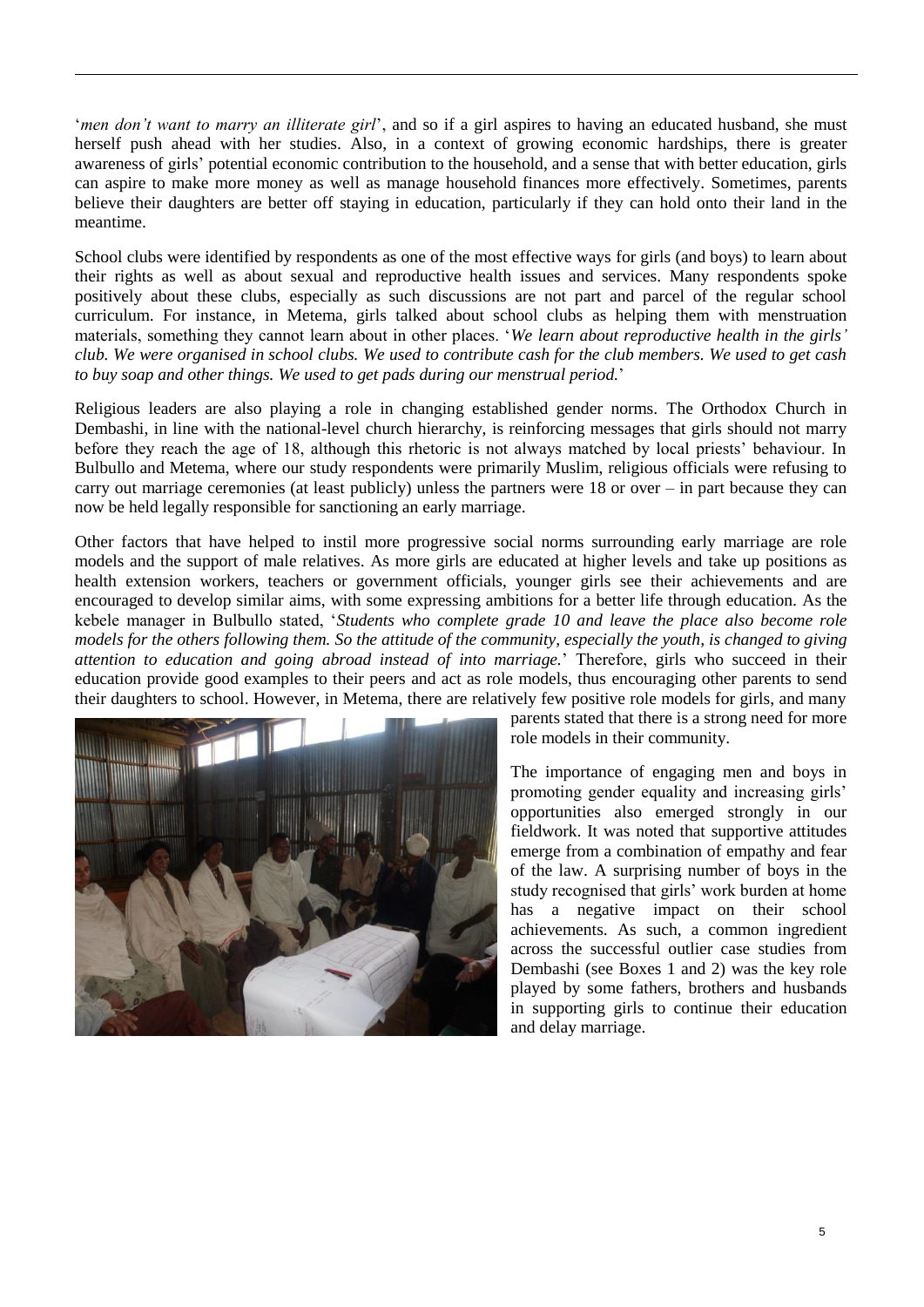'*men don't want to marry an illiterate girl*', and so if a girl aspires to having an educated husband, she must herself push ahead with her studies. Also, in a context of growing economic hardships, there is greater awareness of girls' potential economic contribution to the household, and a sense that with better education, girls can aspire to make more money as well as manage household finances more effectively. Sometimes, parents believe their daughters are better off staying in education, particularly if they can hold onto their land in the meantime.

School clubs were identified by respondents as one of the most effective ways for girls (and boys) to learn about their rights as well as about sexual and reproductive health issues and services. Many respondents spoke positively about these clubs, especially as such discussions are not part and parcel of the regular school curriculum. For instance, in Metema, girls talked about school clubs as helping them with menstruation materials, something they cannot learn about in other places. '*We learn about reproductive health in the girls' club. We were organised in school clubs. We used to contribute cash for the club members. We used to get cash to buy soap and other things. We used to get pads during our menstrual period.*'

Religious leaders are also playing a role in changing established gender norms. The Orthodox Church in Dembashi, in line with the national-level church hierarchy, is reinforcing messages that girls should not marry before they reach the age of 18, although this rhetoric is not always matched by local priests' behaviour. In Bulbullo and Metema, where our study respondents were primarily Muslim, religious officials were refusing to carry out marriage ceremonies (at least publicly) unless the partners were 18 or over – in part because they can now be held legally responsible for sanctioning an early marriage.

Other factors that have helped to instil more progressive social norms surrounding early marriage are role models and the support of male relatives. As more girls are educated at higher levels and take up positions as health extension workers, teachers or government officials, younger girls see their achievements and are encouraged to develop similar aims, with some expressing ambitions for a better life through education. As the kebele manager in Bulbullo stated, '*Students who complete grade 10 and leave the place also become role models for the others following them. So the attitude of the community, especially the youth, is changed to giving attention to education and going abroad instead of into marriage.*' Therefore, girls who succeed in their education provide good examples to their peers and act as role models, thus encouraging other parents to send their daughters to school. However, in Metema, there are relatively few positive role models for girls, and many



parents stated that there is a strong need for more role models in their community.

The importance of engaging men and boys in promoting gender equality and increasing girls' opportunities also emerged strongly in our fieldwork. It was noted that supportive attitudes emerge from a combination of empathy and fear of the law. A surprising number of boys in the study recognised that girls' work burden at home has a negative impact on their school achievements. As such, a common ingredient across the successful outlier case studies from Dembashi (see Boxes 1 and 2) was the key role played by some fathers, brothers and husbands in supporting girls to continue their education and delay marriage.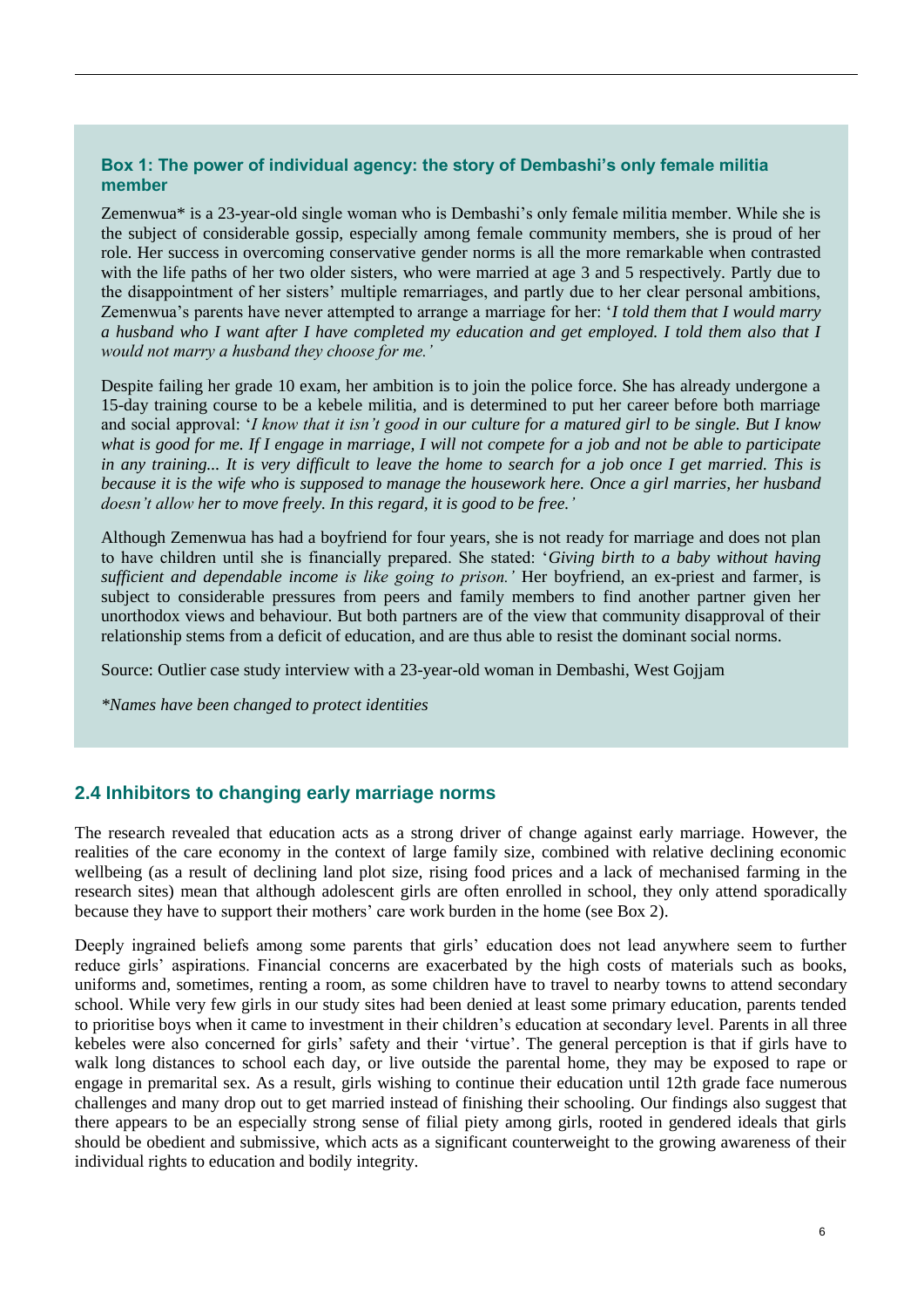#### **Box 1: The power of individual agency: the story of Dembashi's only female militia member**

Zemenwua\* is a 23-year-old single woman who is Dembashi's only female militia member. While she is the subject of considerable gossip, especially among female community members, she is proud of her role. Her success in overcoming conservative gender norms is all the more remarkable when contrasted with the life paths of her two older sisters, who were married at age 3 and 5 respectively. Partly due to the disappointment of her sisters' multiple remarriages, and partly due to her clear personal ambitions, Zemenwua's parents have never attempted to arrange a marriage for her: '*I told them that I would marry a husband who I want after I have completed my education and get employed. I told them also that I would not marry a husband they choose for me.'*

Despite failing her grade 10 exam, her ambition is to join the police force. She has already undergone a 15-day training course to be a kebele militia, and is determined to put her career before both marriage and social approval: '*I know that it isn't good in our culture for a matured girl to be single. But I know what is good for me. If I engage in marriage, I will not compete for a job and not be able to participate in any training... It is very difficult to leave the home to search for a job once I get married. This is because it is the wife who is supposed to manage the housework here. Once a girl marries, her husband doesn't allow her to move freely. In this regard, it is good to be free.'*

Although Zemenwua has had a boyfriend for four years, she is not ready for marriage and does not plan to have children until she is financially prepared. She stated: '*Giving birth to a baby without having sufficient and dependable income is like going to prison.'* Her boyfriend, an ex-priest and farmer, is subject to considerable pressures from peers and family members to find another partner given her unorthodox views and behaviour. But both partners are of the view that community disapproval of their relationship stems from a deficit of education, and are thus able to resist the dominant social norms.

Source: Outlier case study interview with a 23-year-old woman in Dembashi, West Gojjam

*\*Names have been changed to protect identities*

#### **2.4 Inhibitors to changing early marriage norms**

The research revealed that education acts as a strong driver of change against early marriage. However, the realities of the care economy in the context of large family size, combined with relative declining economic wellbeing (as a result of declining land plot size, rising food prices and a lack of mechanised farming in the research sites) mean that although adolescent girls are often enrolled in school, they only attend sporadically because they have to support their mothers' care work burden in the home (see Box 2).

Deeply ingrained beliefs among some parents that girls' education does not lead anywhere seem to further reduce girls' aspirations. Financial concerns are exacerbated by the high costs of materials such as books, uniforms and, sometimes, renting a room, as some children have to travel to nearby towns to attend secondary school. While very few girls in our study sites had been denied at least some primary education, parents tended to prioritise boys when it came to investment in their children's education at secondary level. Parents in all three kebeles were also concerned for girls' safety and their 'virtue'. The general perception is that if girls have to walk long distances to school each day, or live outside the parental home, they may be exposed to rape or engage in premarital sex. As a result, girls wishing to continue their education until 12th grade face numerous challenges and many drop out to get married instead of finishing their schooling. Our findings also suggest that there appears to be an especially strong sense of filial piety among girls, rooted in gendered ideals that girls should be obedient and submissive, which acts as a significant counterweight to the growing awareness of their individual rights to education and bodily integrity.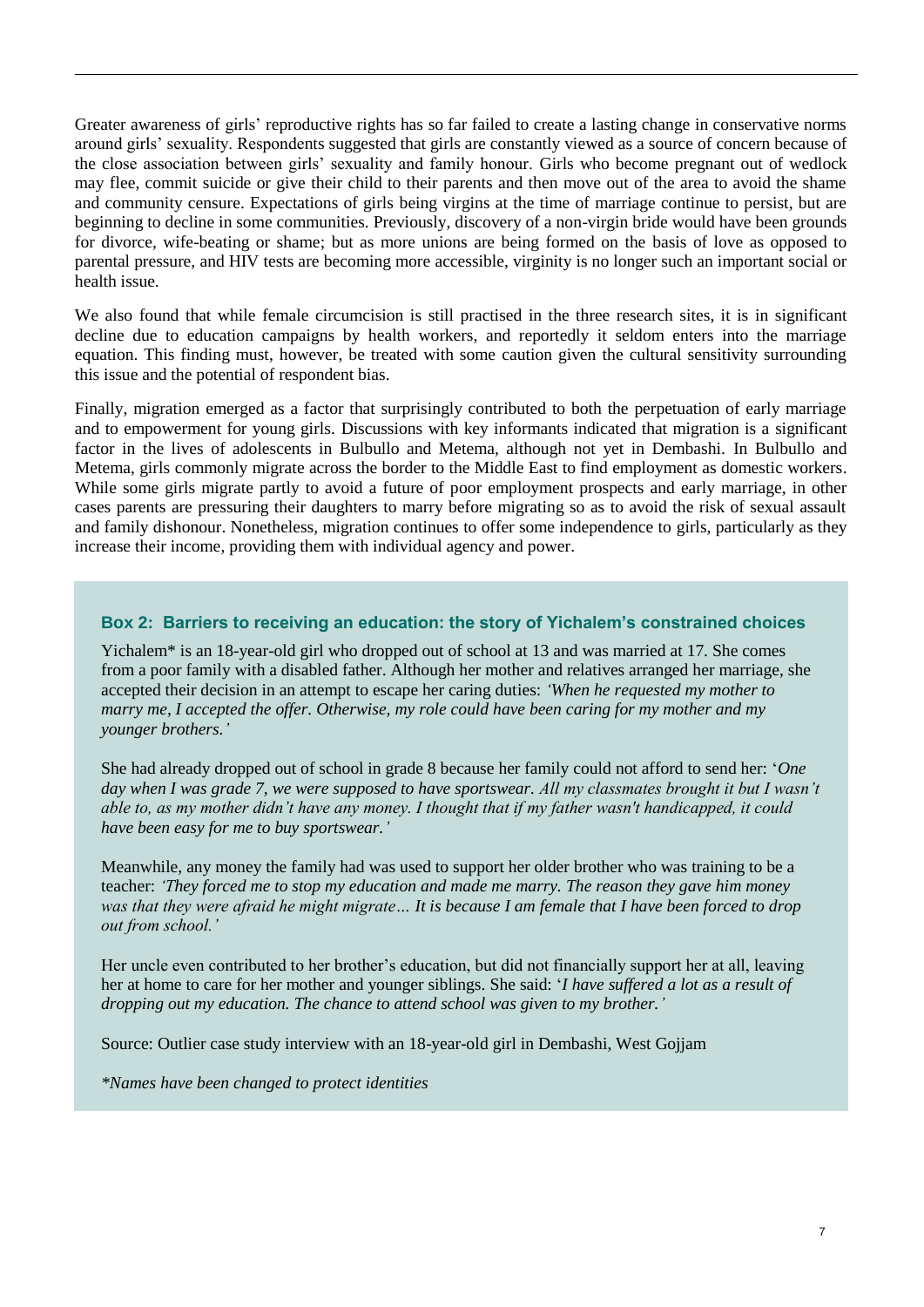Greater awareness of girls' reproductive rights has so far failed to create a lasting change in conservative norms around girls' sexuality. Respondents suggested that girls are constantly viewed as a source of concern because of the close association between girls' sexuality and family honour. Girls who become pregnant out of wedlock may flee, commit suicide or give their child to their parents and then move out of the area to avoid the shame and community censure. Expectations of girls being virgins at the time of marriage continue to persist, but are beginning to decline in some communities. Previously, discovery of a non-virgin bride would have been grounds for divorce, wife-beating or shame; but as more unions are being formed on the basis of love as opposed to parental pressure, and HIV tests are becoming more accessible, virginity is no longer such an important social or health issue.

We also found that while female circumcision is still practised in the three research sites, it is in significant decline due to education campaigns by health workers, and reportedly it seldom enters into the marriage equation. This finding must, however, be treated with some caution given the cultural sensitivity surrounding this issue and the potential of respondent bias.

Finally, migration emerged as a factor that surprisingly contributed to both the perpetuation of early marriage and to empowerment for young girls. Discussions with key informants indicated that migration is a significant factor in the lives of adolescents in Bulbullo and Metema, although not yet in Dembashi. In Bulbullo and Metema, girls commonly migrate across the border to the Middle East to find employment as domestic workers. While some girls migrate partly to avoid a future of poor employment prospects and early marriage, in other cases parents are pressuring their daughters to marry before migrating so as to avoid the risk of sexual assault and family dishonour. Nonetheless, migration continues to offer some independence to girls, particularly as they increase their income, providing them with individual agency and power.

#### **Box 2: Barriers to receiving an education: the story of Yichalem's constrained choices**

Yichalem\* is an 18-year-old girl who dropped out of school at 13 and was married at 17. She comes from a poor family with a disabled father. Although her mother and relatives arranged her marriage, she accepted their decision in an attempt to escape her caring duties: *'When he requested my mother to marry me, I accepted the offer. Otherwise, my role could have been caring for my mother and my younger brothers.'*

She had already dropped out of school in grade 8 because her family could not afford to send her: '*One day when I was grade 7, we were supposed to have sportswear. All my classmates brought it but I wasn't able to, as my mother didn't have any money. I thought that if my father wasn't handicapped, it could have been easy for me to buy sportswear.'*

Meanwhile, any money the family had was used to support her older brother who was training to be a teacher: *'They forced me to stop my education and made me marry. The reason they gave him money was that they were afraid he might migrate… It is because I am female that I have been forced to drop out from school.'*

Her uncle even contributed to her brother's education, but did not financially support her at all, leaving her at home to care for her mother and younger siblings. She said: '*I have suffered a lot as a result of dropping out my education. The chance to attend school was given to my brother.'*

Source: Outlier case study interview with an 18-year-old girl in Dembashi, West Gojjam

*\*Names have been changed to protect identities*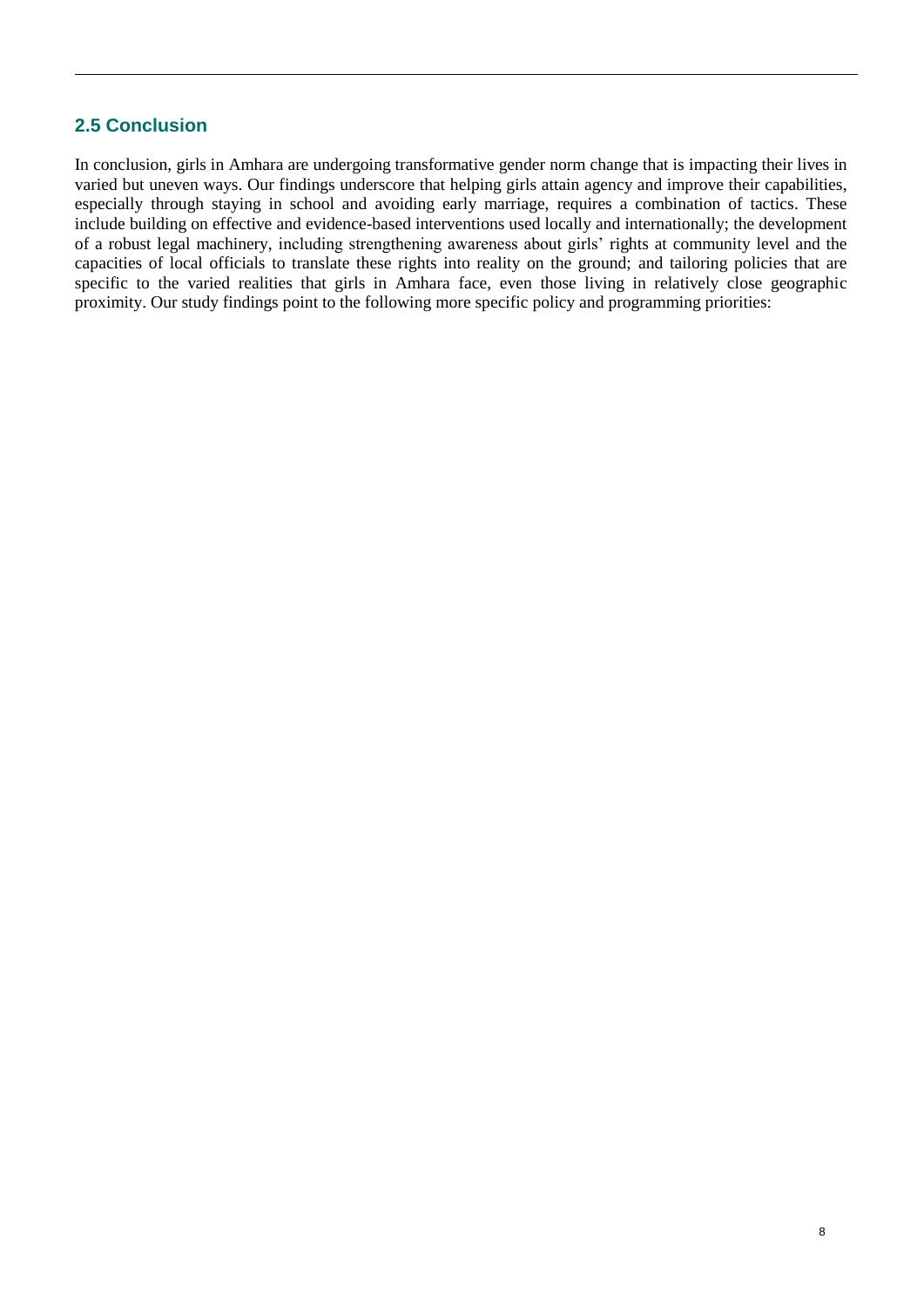### **2.5 Conclusion**

In conclusion, girls in Amhara are undergoing transformative gender norm change that is impacting their lives in varied but uneven ways. Our findings underscore that helping girls attain agency and improve their capabilities, especially through staying in school and avoiding early marriage, requires a combination of tactics. These include building on effective and evidence-based interventions used locally and internationally; the development of a robust legal machinery, including strengthening awareness about girls' rights at community level and the capacities of local officials to translate these rights into reality on the ground; and tailoring policies that are specific to the varied realities that girls in Amhara face, even those living in relatively close geographic proximity. Our study findings point to the following more specific policy and programming priorities: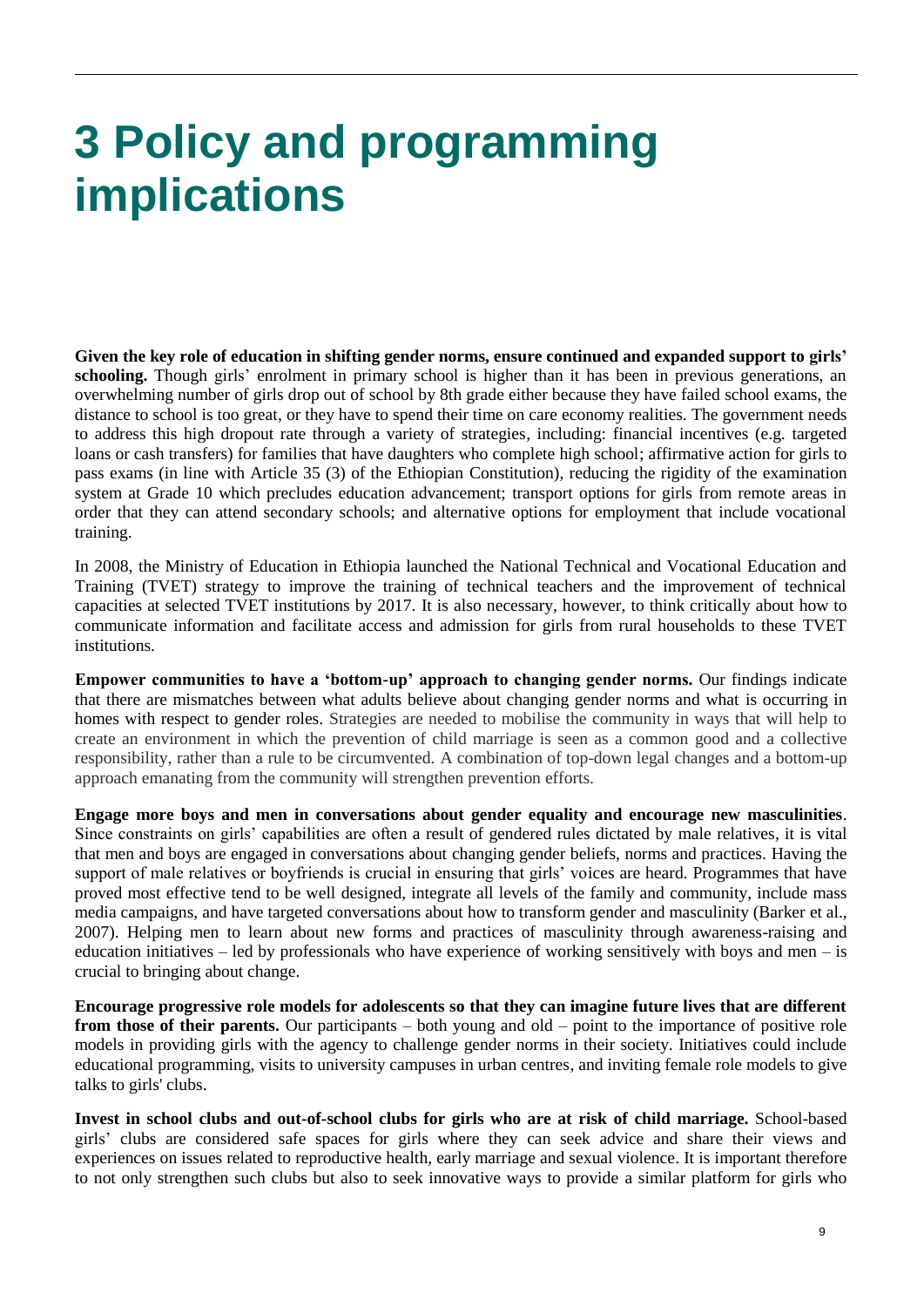### **3 Policy and programming implications**

**Given the key role of education in shifting gender norms, ensure continued and expanded support to girls'**  schooling. Though girls' enrolment in primary school is higher than it has been in previous generations, an overwhelming number of girls drop out of school by 8th grade either because they have failed school exams, the distance to school is too great, or they have to spend their time on care economy realities. The government needs to address this high dropout rate through a variety of strategies, including: financial incentives (e.g. targeted loans or cash transfers) for families that have daughters who complete high school; affirmative action for girls to pass exams (in line with Article 35 (3) of the Ethiopian Constitution), reducing the rigidity of the examination system at Grade 10 which precludes education advancement; transport options for girls from remote areas in order that they can attend secondary schools; and alternative options for employment that include vocational training.

In 2008, the Ministry of Education in Ethiopia launched the National Technical and Vocational Education and Training (TVET) strategy to improve the training of technical teachers and the improvement of technical capacities at selected TVET institutions by 2017. It is also necessary, however, to think critically about how to communicate information and facilitate access and admission for girls from rural households to these TVET institutions.

**Empower communities to have a 'bottom-up' approach to changing gender norms.** Our findings indicate that there are mismatches between what adults believe about changing gender norms and what is occurring in homes with respect to gender roles. Strategies are needed to mobilise the community in ways that will help to create an environment in which the prevention of child marriage is seen as a common good and a collective responsibility, rather than a rule to be circumvented. A combination of top-down legal changes and a bottom-up approach emanating from the community will strengthen prevention efforts.

**Engage more boys and men in conversations about gender equality and encourage new masculinities**. Since constraints on girls' capabilities are often a result of gendered rules dictated by male relatives, it is vital that men and boys are engaged in conversations about changing gender beliefs, norms and practices. Having the support of male relatives or boyfriends is crucial in ensuring that girls' voices are heard. Programmes that have proved most effective tend to be well designed, integrate all levels of the family and community, include mass media campaigns, and have targeted conversations about how to transform gender and masculinity (Barker et al., 2007). Helping men to learn about new forms and practices of masculinity through awareness-raising and education initiatives – led by professionals who have experience of working sensitively with boys and men – is crucial to bringing about change.

**Encourage progressive role models for adolescents so that they can imagine future lives that are different from those of their parents.** Our participants – both young and old – point to the importance of positive role models in providing girls with the agency to challenge gender norms in their society. Initiatives could include educational programming, visits to university campuses in urban centres, and inviting female role models to give talks to girls' clubs.

**Invest in school clubs and out-of-school clubs for girls who are at risk of child marriage.** School-based girls' clubs are considered safe spaces for girls where they can seek advice and share their views and experiences on issues related to reproductive health, early marriage and sexual violence. It is important therefore to not only strengthen such clubs but also to seek innovative ways to provide a similar platform for girls who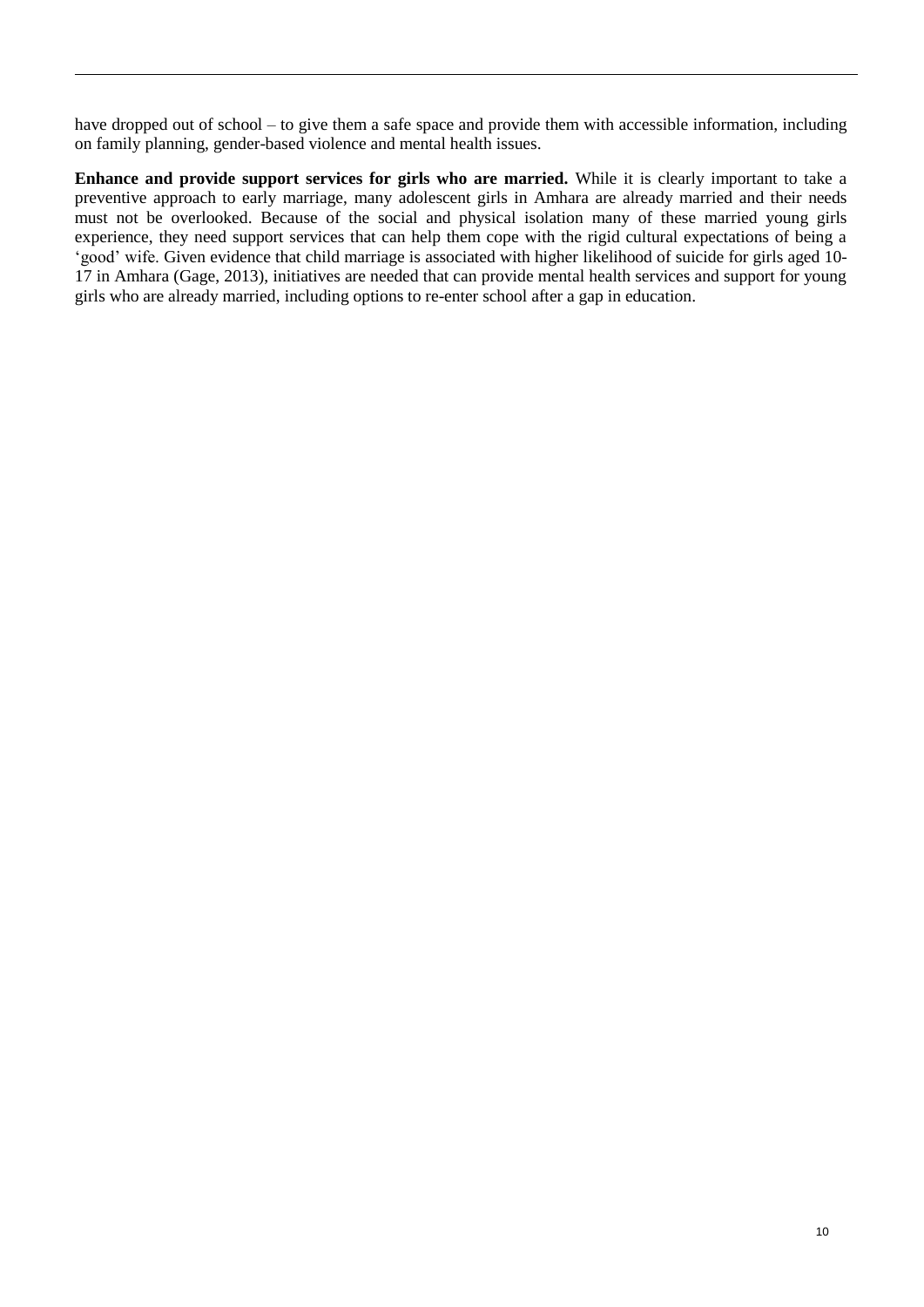have dropped out of school – to give them a safe space and provide them with accessible information, including on family planning, gender-based violence and mental health issues.

**Enhance and provide support services for girls who are married.** While it is clearly important to take a preventive approach to early marriage, many adolescent girls in Amhara are already married and their needs must not be overlooked. Because of the social and physical isolation many of these married young girls experience, they need support services that can help them cope with the rigid cultural expectations of being a 'good' wife. Given evidence that child marriage is associated with higher likelihood of suicide for girls aged 10- 17 in Amhara (Gage, 2013), initiatives are needed that can provide mental health services and support for young girls who are already married, including options to re-enter school after a gap in education.